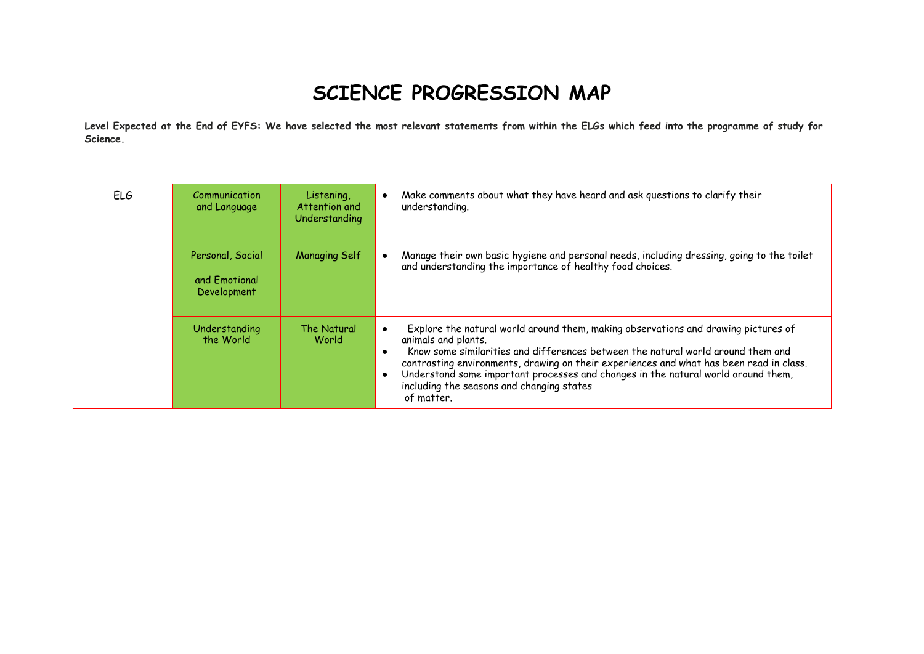## **SCIENCE PROGRESSION MAP**

**Level Expected at the End of EYFS: We have selected the most relevant statements from within the ELGs which feed into the programme of study for Science.**

| ELG | Communication<br>and Language                    | Listening,<br>Attention and<br>Understanding | Make comments about what they have heard and ask questions to clarify their<br>understanding.                                                                                                                                                                                                                                                                                                                                                                           |
|-----|--------------------------------------------------|----------------------------------------------|-------------------------------------------------------------------------------------------------------------------------------------------------------------------------------------------------------------------------------------------------------------------------------------------------------------------------------------------------------------------------------------------------------------------------------------------------------------------------|
|     | Personal, Social<br>and Emotional<br>Development | <b>Managing Self</b>                         | Manage their own basic hygiene and personal needs, including dressing, going to the toilet<br>and understanding the importance of healthy food choices.                                                                                                                                                                                                                                                                                                                 |
|     | Understanding<br>the World                       | The Natural<br>World                         | Explore the natural world around them, making observations and drawing pictures of<br>٠<br>animals and plants.<br>Know some similarities and differences between the natural world around them and<br>$\bullet$<br>contrasting environments, drawing on their experiences and what has been read in class.<br>Understand some important processes and changes in the natural world around them,<br>$\bullet$<br>including the seasons and changing states<br>of matter. |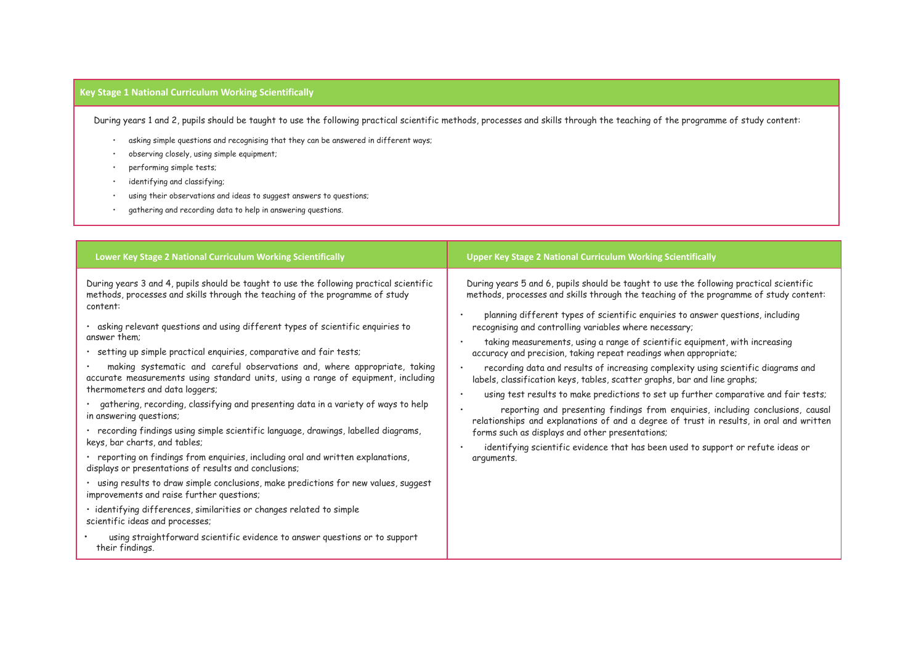## **Key Stage 1 National Curriculum Working Scientifically**

During years 1 and 2, pupils should be taught to use the following practical scientific methods, processes and skills through the teaching of the programme of study content:

- asking simple questions and recognising that they can be answered in different ways;
- observing closely, using simple equipment;
- performing simple tests;
- identifying and classifying;
- using their observations and ideas to suggest answers to questions;
- gathering and recording data to help in answering questions.

| Lower Key Stage 2 National Curriculum Working Scientifically                                                                                                                                                                                                                                                                                                                                                                                                                                                                                                                                                                                                                                                                                                                                                                                                                                                                                                                                                                                                                                                                                                                                                                                                                                                | <b>Upper Key Stage 2 National Curriculum Working Scientifically</b>                                                                                                                                                                                                                                                                                                                                                                                                                                                                                                                                                                                                                                                                                                                                                                                                                                                                                                                                                                                                           |
|-------------------------------------------------------------------------------------------------------------------------------------------------------------------------------------------------------------------------------------------------------------------------------------------------------------------------------------------------------------------------------------------------------------------------------------------------------------------------------------------------------------------------------------------------------------------------------------------------------------------------------------------------------------------------------------------------------------------------------------------------------------------------------------------------------------------------------------------------------------------------------------------------------------------------------------------------------------------------------------------------------------------------------------------------------------------------------------------------------------------------------------------------------------------------------------------------------------------------------------------------------------------------------------------------------------|-------------------------------------------------------------------------------------------------------------------------------------------------------------------------------------------------------------------------------------------------------------------------------------------------------------------------------------------------------------------------------------------------------------------------------------------------------------------------------------------------------------------------------------------------------------------------------------------------------------------------------------------------------------------------------------------------------------------------------------------------------------------------------------------------------------------------------------------------------------------------------------------------------------------------------------------------------------------------------------------------------------------------------------------------------------------------------|
| During years 3 and 4, pupils should be taught to use the following practical scientific<br>methods, processes and skills through the teaching of the programme of study<br>content:<br>asking relevant questions and using different types of scientific enquiries to<br>answer them:<br>· setting up simple practical enquiries, comparative and fair tests;<br>making systematic and careful observations and, where appropriate, taking<br>accurate measurements using standard units, using a range of equipment, including<br>thermometers and data loggers;<br>· gathering, recording, classifying and presenting data in a variety of ways to help<br>in answering questions;<br>· recording findings using simple scientific language, drawings, labelled diagrams,<br>keys, bar charts, and tables;<br>· reporting on findings from enquiries, including oral and written explanations,<br>displays or presentations of results and conclusions;<br>· using results to draw simple conclusions, make predictions for new values, suggest<br>improvements and raise further questions;<br>· identifying differences, similarities or changes related to simple<br>scientific ideas and processes;<br>using straightforward scientific evidence to answer questions or to support<br>their findings. | During years 5 and 6, pupils should be taught to use the following practical scientific<br>methods, processes and skills through the teaching of the programme of study content:<br>planning different types of scientific enquiries to answer questions, including<br>recognising and controlling variables where necessary;<br>taking measurements, using a range of scientific equipment, with increasing<br>accuracy and precision, taking repeat readings when appropriate;<br>recording data and results of increasing complexity using scientific diagrams and<br>labels, classification keys, tables, scatter graphs, bar and line graphs;<br>using test results to make predictions to set up further comparative and fair tests;<br>reporting and presenting findings from enquiries, including conclusions, causal<br>relationships and explanations of and a degree of trust in results, in oral and written<br>forms such as displays and other presentations;<br>identifying scientific evidence that has been used to support or refute ideas or<br>arguments. |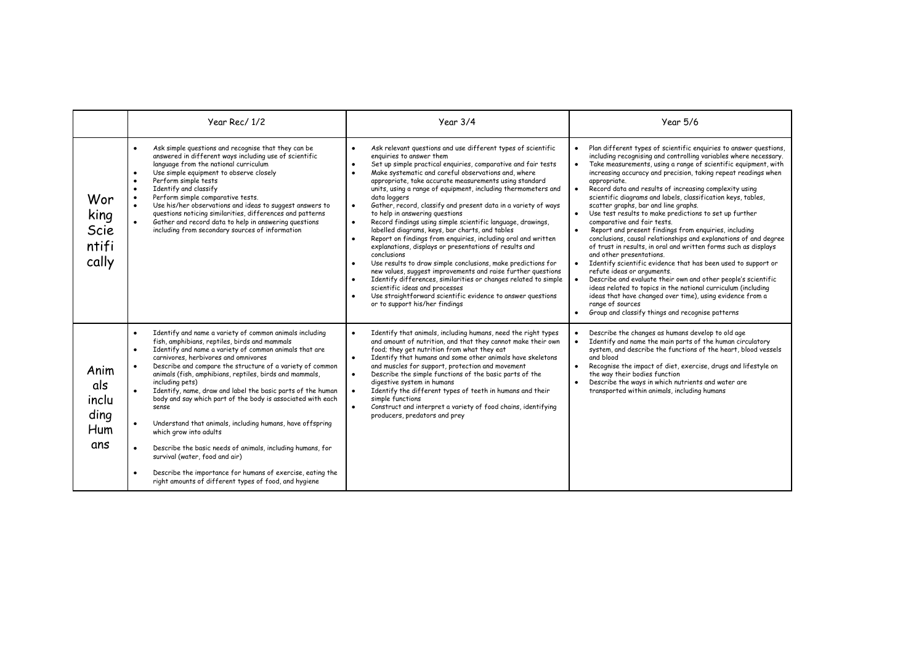|                                            | Year Rec/1/2                                                                                                                                                                                                                                                                                                                                                                                                                                                                                                                                                                                                                                                                                                                                                                                                                                                                             | Year 3/4                                                                                                                                                                                                                                                                                                                                                                                                                                                                                                                                                                                                                                                                                                                                                                                                                                                                                                                                                                                                                                                                                                                           | <b>Year 5/6</b>                                                                                                                                                                                                                                                                                                                                                                                                                                                                                                                                                                                                                                                                                                                                                                                                                                                                                                                                                                                                                                                                                                                                                                                                                                                |
|--------------------------------------------|------------------------------------------------------------------------------------------------------------------------------------------------------------------------------------------------------------------------------------------------------------------------------------------------------------------------------------------------------------------------------------------------------------------------------------------------------------------------------------------------------------------------------------------------------------------------------------------------------------------------------------------------------------------------------------------------------------------------------------------------------------------------------------------------------------------------------------------------------------------------------------------|------------------------------------------------------------------------------------------------------------------------------------------------------------------------------------------------------------------------------------------------------------------------------------------------------------------------------------------------------------------------------------------------------------------------------------------------------------------------------------------------------------------------------------------------------------------------------------------------------------------------------------------------------------------------------------------------------------------------------------------------------------------------------------------------------------------------------------------------------------------------------------------------------------------------------------------------------------------------------------------------------------------------------------------------------------------------------------------------------------------------------------|----------------------------------------------------------------------------------------------------------------------------------------------------------------------------------------------------------------------------------------------------------------------------------------------------------------------------------------------------------------------------------------------------------------------------------------------------------------------------------------------------------------------------------------------------------------------------------------------------------------------------------------------------------------------------------------------------------------------------------------------------------------------------------------------------------------------------------------------------------------------------------------------------------------------------------------------------------------------------------------------------------------------------------------------------------------------------------------------------------------------------------------------------------------------------------------------------------------------------------------------------------------|
| Wor<br>king<br>Scie<br>ntifi<br>cally      | Ask simple questions and recognise that they can be<br>$\bullet$<br>answered in different ways including use of scientific<br>language from the national curriculum<br>Use simple equipment to observe closely<br>$\bullet$<br>Perform simple tests<br>$\bullet$<br>Identify and classify<br>$\bullet$<br>Perform simple comparative tests.<br>$\bullet$<br>Use his/her observations and ideas to suggest answers to<br>questions noticing similarities, differences and patterns<br>Gather and record data to help in answering questions<br>$\bullet$<br>including from secondary sources of information                                                                                                                                                                                                                                                                               | Ask relevant questions and use different types of scientific<br>$\bullet$<br>enquiries to answer them<br>Set up simple practical enquiries, comparative and fair tests<br>$\bullet$<br>Make systematic and careful observations and, where<br>appropriate, take accurate measurements using standard<br>units, using a range of equipment, including thermometers and<br>data loggers<br>Gather, record, classify and present data in a variety of ways<br>$\bullet$<br>to help in answering questions<br>Record findings using simple scientific language, drawings,<br>$\bullet$<br>labelled diagrams, keys, bar charts, and tables<br>Report on findings from enquiries, including oral and written<br>explanations, displays or presentations of results and<br>conclusions<br>Use results to draw simple conclusions, make predictions for<br>new values, suggest improvements and raise further questions<br>Identify differences, similarities or changes related to simple<br>scientific ideas and processes<br>Use straightforward scientific evidence to answer questions<br>$\bullet$<br>or to support his/her findings | Plan different types of scientific enquiries to answer questions,<br>$\bullet$<br>including recognising and controlling variables where necessary.<br>Take measurements, using a range of scientific equipment, with<br>$\bullet$<br>increasing accuracy and precision, taking repeat readings when<br>appropriate.<br>Record data and results of increasing complexity using<br>$\bullet$<br>scientific diagrams and labels, classification keys, tables,<br>scatter graphs, bar and line graphs.<br>Use test results to make predictions to set up further<br>$\bullet$<br>comparative and fair tests.<br>Report and present findings from enquiries, including<br>$\bullet$<br>conclusions, causal relationships and explanations of and degree<br>of trust in results, in oral and written forms such as displays<br>and other presentations.<br>Identify scientific evidence that has been used to support or<br>$\bullet$<br>refute ideas or arguments.<br>Describe and evaluate their own and other people's scientific<br>$\bullet$<br>ideas related to topics in the national curriculum (including<br>ideas that have changed over time), using evidence from a<br>range of sources<br>Group and classify things and recognise patterns<br>$\bullet$ |
| Anim<br>als<br>inclu<br>ding<br>Hum<br>ans | Identify and name a variety of common animals including<br>$\bullet$<br>fish, amphibians, reptiles, birds and mammals<br>Identify and name a variety of common animals that are<br>$\bullet$<br>carnivores, herbivores and omnivores<br>Describe and compare the structure of a variety of common<br>$\bullet$<br>animals (fish, amphibians, reptiles, birds and mammals,<br>including pets)<br>Identify, name, draw and label the basic parts of the human<br>body and say which part of the body is associated with each<br>sense<br>Understand that animals, including humans, have offspring<br>$\bullet$<br>which grow into adults<br>Describe the basic needs of animals, including humans, for<br>$\bullet$<br>survival (water, food and air)<br>Describe the importance for humans of exercise, eating the<br>$\bullet$<br>right amounts of different types of food, and hygiene | Identify that animals, including humans, need the right types<br>$\bullet$<br>and amount of nutrition, and that they cannot make their own<br>food; they get nutrition from what they eat<br>Identify that humans and some other animals have skeletons<br>$\bullet$<br>and muscles for support, protection and movement<br>Describe the simple functions of the basic parts of the<br>$\bullet$<br>digestive system in humans<br>Identify the different types of teeth in humans and their<br>$\bullet$<br>simple functions<br>Construct and interpret a variety of food chains, identifying<br>$\bullet$<br>producers, predators and prey                                                                                                                                                                                                                                                                                                                                                                                                                                                                                        | Describe the changes as humans develop to old age<br>$\bullet$<br>Identify and name the main parts of the human circulatory<br>$\bullet$<br>system, and describe the functions of the heart, blood vessels<br>and blood<br>Recognise the impact of diet, exercise, drugs and lifestyle on<br>$\bullet$<br>the way their bodies function<br>Describe the ways in which nutrients and water are<br>$\bullet$<br>transported within animals, including humans                                                                                                                                                                                                                                                                                                                                                                                                                                                                                                                                                                                                                                                                                                                                                                                                     |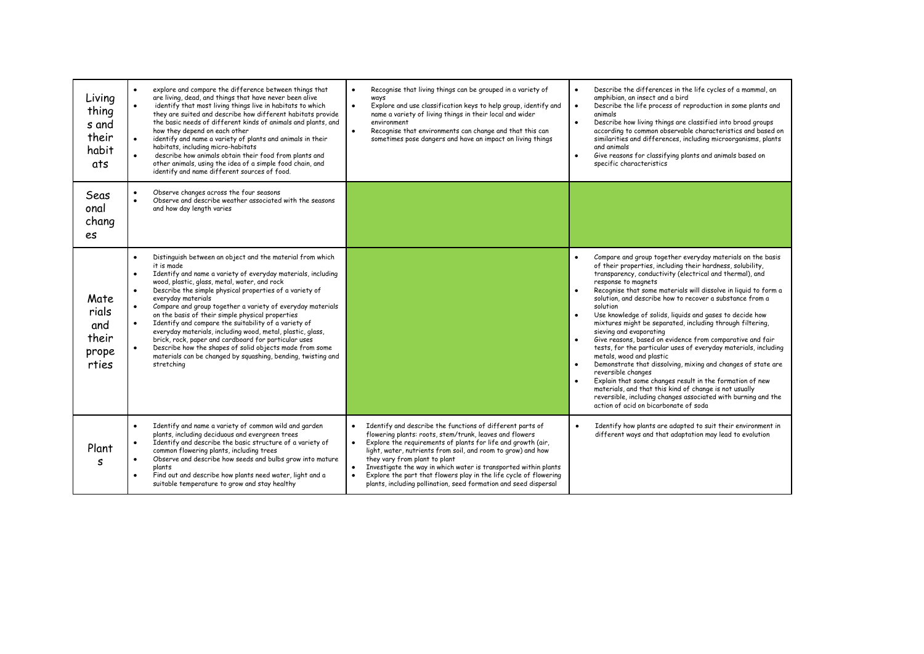| Living<br>thing<br>s and<br>their<br>habit<br>ats | explore and compare the difference between things that<br>$\bullet$<br>are living, dead, and things that have never been alive<br>identify that most living things live in habitats to which<br>$\bullet$<br>they are suited and describe how different habitats provide<br>the basic needs of different kinds of animals and plants, and<br>how they depend on each other<br>identify and name a variety of plants and animals in their<br>$\bullet$<br>habitats, including micro-habitats<br>describe how animals obtain their food from plants and<br>other animals, using the idea of a simple food chain, and<br>identify and name different sources of food.                                                                                                                              | Recognise that living things can be grouped in a variety of<br>$\bullet$<br>ways<br>Explore and use classification keys to help group, identify and<br>$\bullet$<br>name a variety of living things in their local and wider<br>environment<br>Recognise that environments can change and that this can<br>$\bullet$<br>sometimes pose dangers and have an impact on living things                                                                                                                             | Describe the differences in the life cycles of a mammal, an<br>$\bullet$<br>amphibian, an insect and a bird<br>Describe the life process of reproduction in some plants and<br>$\bullet$<br>animals<br>Describe how living things are classified into broad groups<br>$\bullet$<br>according to common observable characteristics and based on<br>similarities and differences, including microorganisms, plants<br>and animals<br>Give reasons for classifying plants and animals based on<br>$\bullet$<br>specific characteristics                                                                                                                                                                                                                                                                                                                                                                                                                                                                                                                                       |
|---------------------------------------------------|-------------------------------------------------------------------------------------------------------------------------------------------------------------------------------------------------------------------------------------------------------------------------------------------------------------------------------------------------------------------------------------------------------------------------------------------------------------------------------------------------------------------------------------------------------------------------------------------------------------------------------------------------------------------------------------------------------------------------------------------------------------------------------------------------|----------------------------------------------------------------------------------------------------------------------------------------------------------------------------------------------------------------------------------------------------------------------------------------------------------------------------------------------------------------------------------------------------------------------------------------------------------------------------------------------------------------|----------------------------------------------------------------------------------------------------------------------------------------------------------------------------------------------------------------------------------------------------------------------------------------------------------------------------------------------------------------------------------------------------------------------------------------------------------------------------------------------------------------------------------------------------------------------------------------------------------------------------------------------------------------------------------------------------------------------------------------------------------------------------------------------------------------------------------------------------------------------------------------------------------------------------------------------------------------------------------------------------------------------------------------------------------------------------|
| Seas<br>onal<br>chang<br>es                       | Observe changes across the four seasons<br>$\bullet$<br>Observe and describe weather associated with the seasons<br>$\bullet$<br>and how day length varies                                                                                                                                                                                                                                                                                                                                                                                                                                                                                                                                                                                                                                      |                                                                                                                                                                                                                                                                                                                                                                                                                                                                                                                |                                                                                                                                                                                                                                                                                                                                                                                                                                                                                                                                                                                                                                                                                                                                                                                                                                                                                                                                                                                                                                                                            |
| Mate<br>rials<br>and<br>their<br>prope<br>rties   | Distinguish between an object and the material from which<br>$\bullet$<br>it is made<br>Identify and name a variety of everyday materials, including<br>$\bullet$<br>wood, plastic, glass, metal, water, and rock<br>Describe the simple physical properties of a variety of<br>$\bullet$<br>everyday materials<br>Compare and group together a variety of everyday materials<br>$\bullet$<br>on the basis of their simple physical properties<br>Identify and compare the suitability of a variety of<br>$\bullet$<br>everyday materials, including wood, metal, plastic, glass,<br>brick, rock, paper and cardboard for particular uses<br>Describe how the shapes of solid objects made from some<br>$\bullet$<br>materials can be changed by squashing, bending, twisting and<br>stretching |                                                                                                                                                                                                                                                                                                                                                                                                                                                                                                                | Compare and group together everyday materials on the basis<br>$\bullet$<br>of their properties, including their hardness, solubility,<br>transparency, conductivity (electrical and thermal), and<br>response to magnets<br>Recognise that some materials will dissolve in liquid to form a<br>$\bullet$<br>solution, and describe how to recover a substance from a<br>solution<br>Use knowledge of solids, liquids and gases to decide how<br>$\bullet$<br>mixtures might be separated, including through filtering,<br>sieving and evaporating<br>Give reasons, based on evidence from comparative and fair<br>$\bullet$<br>tests, for the particular uses of everyday materials, including<br>metals, wood and plastic<br>Demonstrate that dissolving, mixing and changes of state are<br>$\bullet$<br>reversible changes<br>Explain that some changes result in the formation of new<br>$\bullet$<br>materials, and that this kind of change is not usually<br>reversible, including changes associated with burning and the<br>action of acid on bicarbonate of soda |
| Plant<br>S                                        | Identify and name a variety of common wild and garden<br>$\bullet$<br>plants, including deciduous and evergreen trees<br>Identify and describe the basic structure of a variety of<br>$\bullet$<br>common flowering plants, including trees<br>Observe and describe how seeds and bulbs grow into mature<br>$\bullet$<br>plants<br>Find out and describe how plants need water, light and a<br>$\bullet$<br>suitable temperature to grow and stay healthy                                                                                                                                                                                                                                                                                                                                       | Identify and describe the functions of different parts of<br>flowering plants: roots, stem/trunk, leaves and flowers<br>Explore the requirements of plants for life and growth (air,<br>$\bullet$<br>light, water, nutrients from soil, and room to grow) and how<br>they vary from plant to plant<br>Investigate the way in which water is transported within plants<br>Explore the part that flowers play in the life cycle of flowering<br>plants, including pollination, seed formation and seed dispersal | Identify how plants are adapted to suit their environment in<br>$\bullet$<br>different ways and that adaptation may lead to evolution                                                                                                                                                                                                                                                                                                                                                                                                                                                                                                                                                                                                                                                                                                                                                                                                                                                                                                                                      |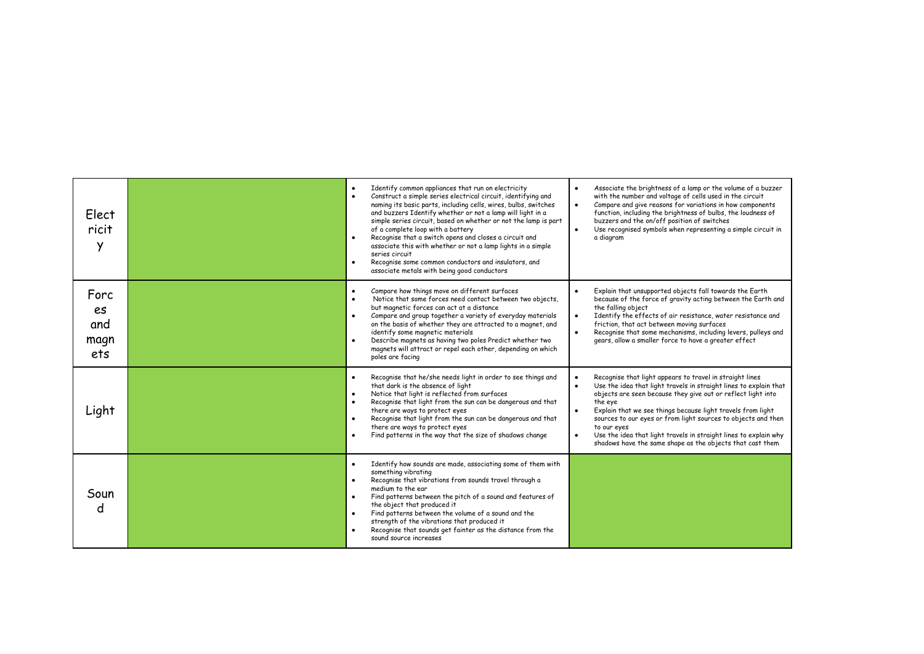| Elect<br>ricit<br>Y              | Identify common appliances that run on electricity<br>$\bullet$<br>Construct a simple series electrical circuit, identifying and<br>$\bullet$<br>naming its basic parts, including cells, wires, bulbs, switches<br>and buzzers Identify whether or not a lamp will light in a<br>simple series circuit, based on whether or not the lamp is part<br>of a complete loop with a battery<br>Recognise that a switch opens and closes a circuit and<br>$\bullet$<br>associate this with whether or not a lamp lights in a simple<br>series circuit<br>Recognise some common conductors and insulators, and<br>$\bullet$<br>associate metals with being good conductors | Associate the brightness of a lamp or the volume of a buzzer<br>$\bullet$<br>with the number and voltage of cells used in the circuit<br>Compare and give reasons for variations in how components<br>$\bullet$<br>function, including the brightness of bulbs, the loudness of<br>buzzers and the on/off position of switches<br>Use recognised symbols when representing a simple circuit in<br>$\bullet$<br>a diagram                                                                                                                     |
|----------------------------------|---------------------------------------------------------------------------------------------------------------------------------------------------------------------------------------------------------------------------------------------------------------------------------------------------------------------------------------------------------------------------------------------------------------------------------------------------------------------------------------------------------------------------------------------------------------------------------------------------------------------------------------------------------------------|----------------------------------------------------------------------------------------------------------------------------------------------------------------------------------------------------------------------------------------------------------------------------------------------------------------------------------------------------------------------------------------------------------------------------------------------------------------------------------------------------------------------------------------------|
| Forc<br>es<br>and<br>magn<br>ets | Compare how things move on different surfaces<br>$\bullet$<br>Notice that some forces need contact between two objects,<br>$\bullet$<br>but magnetic forces can act at a distance<br>Compare and group together a variety of everyday materials<br>on the basis of whether they are attracted to a magnet, and<br>identify some magnetic materials<br>Describe magnets as having two poles Predict whether two<br>magnets will attract or repel each other, depending on which<br>poles are facing                                                                                                                                                                  | Explain that unsupported objects fall towards the Earth<br>$\bullet$<br>because of the force of gravity acting between the Earth and<br>the falling object<br>Identify the effects of air resistance, water resistance and<br>$\bullet$<br>friction, that act between moving surfaces<br>Recognise that some mechanisms, including levers, pulleys and<br>$\bullet$<br>gears, allow a smaller force to have a greater effect                                                                                                                 |
| Light                            | Recognise that he/she needs light in order to see things and<br>$\bullet$<br>that dark is the absence of light<br>Notice that light is reflected from surfaces<br>$\bullet$<br>Recognise that light from the sun can be dangerous and that<br>there are ways to protect eyes<br>Recognise that light from the sun can be dangerous and that<br>there are ways to protect eyes<br>Find patterns in the way that the size of shadows change                                                                                                                                                                                                                           | Recognise that light appears to travel in straight lines<br>$\bullet$<br>Use the idea that light travels in straight lines to explain that<br>$\bullet$<br>objects are seen because they give out or reflect light into<br>the eye<br>Explain that we see things because light travels from light<br>$\bullet$<br>sources to our eyes or from light sources to objects and then<br>to our eves<br>Use the idea that light travels in straight lines to explain why<br>$\bullet$<br>shadows have the same shape as the objects that cast them |
| Soun<br>d                        | Identify how sounds are made, associating some of them with<br>$\bullet$<br>something vibrating<br>Recognise that vibrations from sounds travel through a<br>$\bullet$<br>medium to the ear<br>Find patterns between the pitch of a sound and features of<br>$\bullet$<br>the object that produced it<br>Find patterns between the volume of a sound and the<br>strength of the vibrations that produced it<br>Recognise that sounds get fainter as the distance from the<br>sound source increases                                                                                                                                                                 |                                                                                                                                                                                                                                                                                                                                                                                                                                                                                                                                              |